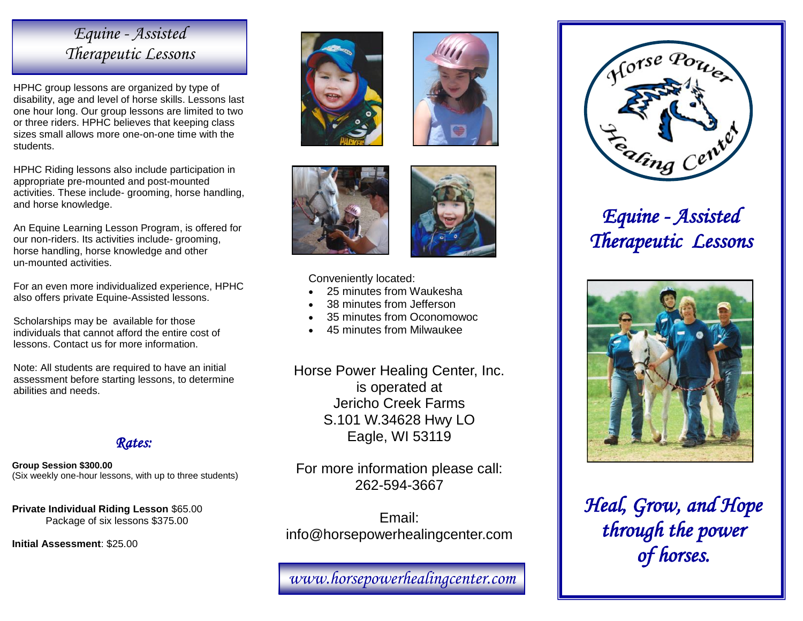### *Equine - Assisted Therapeutic Lessons*

HPHC group lessons are organized by type of disability, age and level of horse skills. Lessons last one hour long. Our group lessons are limited to two or three riders. HPHC believes that keeping class sizes small allows more one-on-one time with the students.

HPHC Riding lessons also include participation in appropriate pre-mounted and post-mounted activities. These include- grooming, horse handling, and horse knowledge.

An Equine Learning Lesson Program, is offered for our non-riders. Its activities include- grooming, horse handling, horse knowledge and other un-mounted activities.

For an even more individualized experience, HPHC also offers private Equine-Assisted lessons.

Scholarships may be available for those individuals that cannot afford the entire cost of lessons. Contact us for more information.

Note: All students are required to have an initial assessment before starting lessons, to determine abilities and needs.



**Group Session \$300.00** (Six weekly one-hour lessons, with up to three students)

**Private Individual Riding Lesson** \$65.00 Package of six lessons \$375.00

**Initial Assessment**: \$25.00









Conveniently located:

- 25 minutes from Waukesha
- 38 minutes from Jefferson
- 35 minutes from Oconomowoc
- 45 minutes from Milwaukee

Horse Power Healing Center, Inc. is operated at Jericho Creek Farms S.101 W.34628 Hwy LO Eagle, WI 53119

For more information please call: 262-594-3667

Email: info@horsepowerhealingcenter.com

*www.horsepowerhealingcenter.com* 



# *Equine - Assisted Therapeutic Lessons*



*Heal, Grow, and Hope through the power of horses.*